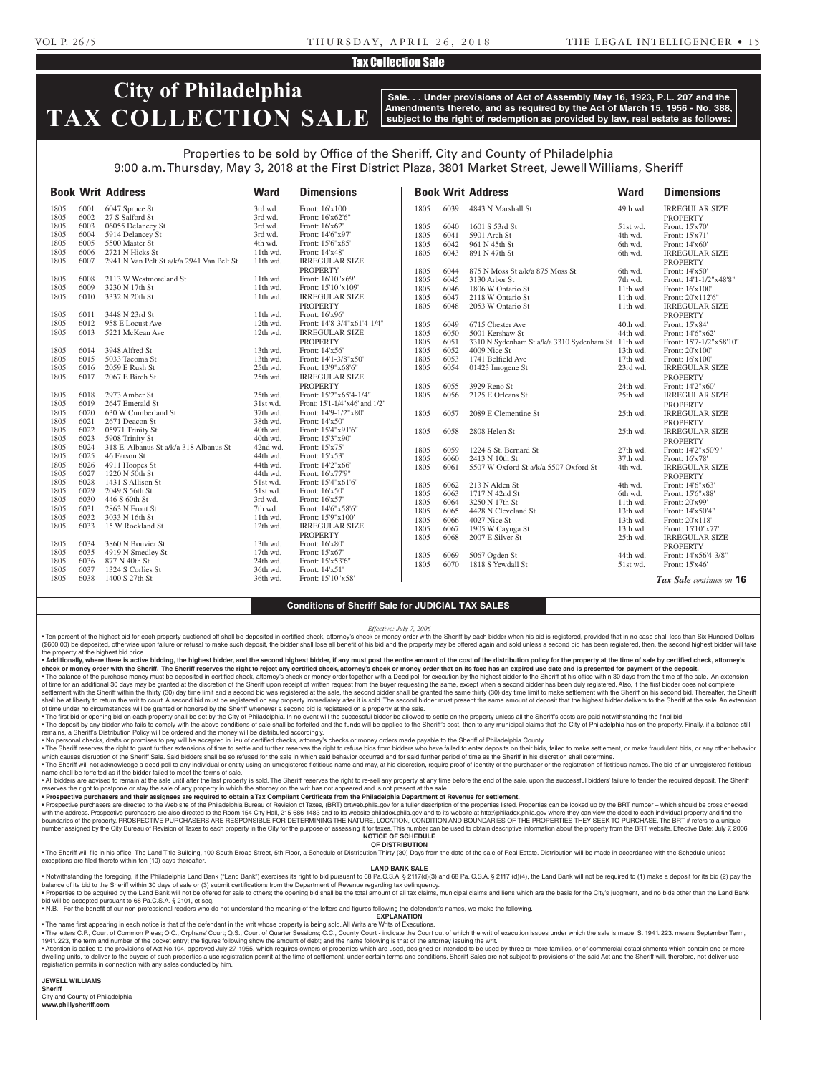#### VOL P. 2675 T H U R S DAY, A P R I L 2 6 , 2 0 1 8 THE LEGAL INTELLIGENCER • 1 5

## Tax Collection Sale

# **City of Philadelphia TAX COLLECTION SALE**

**Sale. . . Under provisions of Act of Assembly May 16, 1923, P.L. 207 and the Amendments thereto, and as required by the Act of March 15, 1956 - No. 388, subject to the right of redemption as provided by law, real estate as follows:**

## Properties to be sold by Office of the Sheriff, City and County of Philadelphia 9:00 a.m. Thursday, May 3, 2018 at the First District Plaza, 3801 Market Street, Jewell Williams, Sheriff

|      |      | <b>Book Writ Address</b>                  | <b>Ward</b> | <b>Dimensions</b>             |      |      | <b>Book Writ Address</b>                  | <b>Ward</b> | <b>Dimensions</b>        |
|------|------|-------------------------------------------|-------------|-------------------------------|------|------|-------------------------------------------|-------------|--------------------------|
| 1805 | 6001 | 6047 Spruce St                            | 3rd wd.     | Front: 16'x100'               | 1805 | 6039 | 4843 N Marshall St                        | 49th wd.    | <b>IRREGULAR SIZE</b>    |
| 1805 | 6002 | 27 S Salford St                           | 3rd wd.     | Front: 16'x62'6"              |      |      |                                           |             | <b>PROPERTY</b>          |
| 1805 | 6003 | 06055 Delancey St                         | 3rd wd.     | Front: 16'x62'                | 1805 | 6040 | 1601 S 53rd St                            | 51st wd.    | Front: 15'x70'           |
| 1805 | 6004 | 5914 Delancey St                          | 3rd wd.     | Front: 14'6"x97'              | 1805 | 6041 | 5901 Arch St                              | 4th wd.     | Front: 15'x71'           |
| 1805 | 6005 | 5500 Master St                            | 4th wd.     | Front: 15'6"x85"              | 1805 | 6042 | 961 N 45th St                             | 6th wd.     | Front: 14'x60'           |
| 1805 | 6006 | 2721 N Hicks St                           | 11th wd.    | Front: 14'x48'                | 1805 | 6043 | 891 N 47th St                             | 6th wd.     | <b>IRREGULAR SIZE</b>    |
| 1805 | 6007 | 2941 N Van Pelt St a/k/a 2941 Van Pelt St | $11th$ wd.  | <b>IRREGULAR SIZE</b>         |      |      |                                           |             | <b>PROPERTY</b>          |
|      |      |                                           |             | <b>PROPERTY</b>               | 1805 | 6044 | 875 N Moss St a/k/a 875 Moss St           | 6th wd.     | Front: 14'x50'           |
| 1805 | 6008 | 2113 W Westmoreland St                    | 11th wd.    | Front: 16'10"x69'             | 1805 | 6045 | 3130 Arbor St                             | 7th wd.     | Front: 14'1-1/2"x48'8"   |
| 1805 | 6009 | 3230 N 17th St                            | 11th wd.    | Front: 15'10"x109'            | 1805 | 6046 | 1806 W Ontario St                         | 11th wd.    | Front: 16'x100'          |
| 1805 | 6010 | 3332 N 20th St                            | $11th$ wd.  | <b>IRREGULAR SIZE</b>         | 1805 | 6047 | 2118 W Ontario St                         | 11th wd.    | Front: 20'x112'6"        |
|      |      |                                           |             | <b>PROPERTY</b>               | 1805 | 6048 | 2053 W Ontario St                         | 11th wd.    | <b>IRREGULAR SIZE</b>    |
| 1805 | 6011 | 3448 N 23rd St                            | 11th wd.    | Front: 16'x96'                |      |      |                                           |             | <b>PROPERTY</b>          |
| 1805 | 6012 | 958 E Locust Ave                          | 12th wd.    | Front: 14'8-3/4"x61'4-1/4"    | 1805 | 6049 | 6715 Chester Ave                          | 40th wd.    | Front: 15'x84'           |
| 1805 | 6013 | 5221 McKean Ave                           | 12th wd.    | <b>IRREGULAR SIZE</b>         | 1805 | 6050 | 5001 Kershaw St                           | 44th wd.    | Front: 14'6"x62'         |
|      |      |                                           |             | <b>PROPERTY</b>               | 1805 | 6051 | 3310 N Sydenham St a/k/a 3310 Sydenham St | 11th wd.    | Front: 15'7-1/2"x58'10"  |
| 1805 | 6014 | 3948 Alfred St                            | 13th wd.    | Front: 14'x56'                | 1805 | 6052 | 4009 Nice St                              | 13th wd.    | Front: 20'x100'          |
| 1805 | 6015 | 5033 Tacoma St                            | 13th wd.    | Front: 14'1-3/8"x50"          | 1805 | 6053 | 1741 Belfield Ave                         | 17th wd.    | Front: 16'x100'          |
| 1805 | 6016 | 2059 E Rush St                            | 25th wd.    | Front: 13'9"x68'6"            | 1805 | 6054 | 01423 Imogene St                          | 23rd wd.    | <b>IRREGULAR SIZE</b>    |
| 1805 | 6017 | 2067 E Birch St                           | 25th wd.    | <b>IRREGULAR SIZE</b>         |      |      |                                           |             | <b>PROPERTY</b>          |
|      |      |                                           |             | <b>PROPERTY</b>               | 1805 | 6055 | 3929 Reno St                              | 24th wd.    | Front: 14'2"x60'         |
| 1805 | 6018 | 2973 Amber St                             | 25th wd.    | Front: 15'2"x65'4-1/4"        | 1805 | 6056 | 2125 E Orleans St                         | 25th wd.    | <b>IRREGULAR SIZE</b>    |
| 1805 | 6019 | 2647 Emerald St                           | 31st wd.    | Front: 15'1-1/4"x46' and 1/2" |      |      |                                           |             | <b>PROPERTY</b>          |
| 1805 | 6020 | 630 W Cumberland St                       | 37th wd.    | Front: 14'9-1/2"x80'          | 1805 | 6057 | 2089 E Clementine St                      | 25th wd.    | <b>IRREGULAR SIZE</b>    |
| 1805 | 6021 | 2671 Deacon St                            | 38th wd.    | Front: 14'x50'                |      |      |                                           |             | <b>PROPERTY</b>          |
| 1805 | 6022 | 05971 Trinity St                          | 40th wd.    | Front: 15'4"x91'6"            | 1805 | 6058 | 2808 Helen St                             | 25th wd.    | <b>IRREGULAR SIZE</b>    |
| 1805 | 6023 | 5908 Trinity St                           | 40th wd.    | Front: 15'3"x90"              |      |      |                                           |             | <b>PROPERTY</b>          |
| 1805 | 6024 | 318 E. Albanus St a/k/a 318 Albanus St    | 42nd wd.    | Front: 15'x75'                | 1805 | 6059 | 1224 S St. Bernard St                     | 27th wd.    | Front: 14'2"x50'9"       |
| 1805 | 6025 | 46 Farson St                              | 44th wd.    | Front: 15'x53'                | 1805 | 6060 | 2413 N 10th St                            | 37th wd.    | Front: 16'x78'           |
| 1805 | 6026 | 4911 Hoopes St                            | 44th wd.    | Front: 14'2"x66'              | 1805 | 6061 | 5507 W Oxford St a/k/a 5507 Oxford St     | 4th wd.     | <b>IRREGULAR SIZE</b>    |
| 1805 | 6027 | 1220 N 50th St                            | 44th wd.    | Front: 16'x77'9"              |      |      |                                           |             | <b>PROPERTY</b>          |
| 1805 | 6028 | 1431 S Allison St                         | 51st wd.    | Front: 15'4"x61'6"            | 1805 | 6062 | 213 N Alden St                            | 4th wd.     | Front: 14'6"x63'         |
| 1805 | 6029 | 2049 S 56th St                            | 51st wd.    | Front: 16'x50'                | 1805 | 6063 | 1717 N 42nd St                            | 6th wd.     | Front: 15'6"x88'         |
| 1805 | 6030 | 446 S 60th St                             | 3rd wd.     | Front: 16'x57'                | 1805 | 6064 | 3250 N 17th St                            | 11th wd.    | Front: 20'x99'           |
| 1805 | 6031 | 2863 N Front St                           | 7th wd.     | Front: 14'6"x58'6"            | 1805 | 6065 | 4428 N Cleveland St                       | 13th wd.    | Front: 14'x50'4"         |
| 1805 | 6032 | 3033 N 16th St                            | 11th wd.    | Front: 15'9"x100"             | 1805 | 6066 | 4027 Nice St                              | 13th wd.    | Front: 20'x118'          |
| 1805 | 6033 | 15 W Rockland St                          | 12th wd.    | <b>IRREGULAR SIZE</b>         | 1805 | 6067 | 1905 W Cayuga St                          | 13th wd.    | Front: 15'10"x77'        |
|      |      |                                           |             | <b>PROPERTY</b>               | 1805 | 6068 | 2007 E Silver St                          | 25th wd.    | <b>IRREGULAR SIZE</b>    |
| 1805 | 6034 | 3860 N Bouvier St                         | 13th wd.    | Front: 16'x80'                |      |      |                                           |             | <b>PROPERTY</b>          |
| 1805 | 6035 | 4919 N Smedley St                         | 17th wd.    | Front: 15'x67'                | 1805 | 6069 | 5067 Ogden St                             | 44th wd.    | Front: 14'x56'4-3/8"     |
| 1805 | 6036 | 877 N 40th St                             | 24th wd.    | Front: 15'x53'6"              | 1805 | 6070 | 1818 S Yewdall St                         | 51st wd.    | Front: 15'x46'           |
| 1805 | 6037 | 1324 S Corlies St                         | 36th wd.    | Front: 14'x51'                |      |      |                                           |             |                          |
| 1805 | 6038 | 1400 S 27th St                            | 36th wd.    | Front: 15'10"x58'             |      |      |                                           |             | Tax Sale continues on 16 |

#### **Conditions of Sheriff Sale for JUDICIAL TAX SALES**

*Effective: July 7, 2006*

. Ten percent of the highest bid for each property auctioned off shall be deposited in certified check, attorney's check or money order with the Sheriff by each bidder when his bid is registered, provided that in no case s (\$600.00) be deposited, otherwise upon failure or refusal to make such deposit, the bidder shall lose all benefit of his bid and the property may be offered again and sold unless a second bid has been registered, then, the the property at the highest bid price.

. Additionally, where there is active bidding, the highest bidder, and the second highest bidder, if any must post the entire amount of the cost of the distribution policy for the property at the time of sale by certified check or money order with the Sheriff. The Sheriff reserves the right to reject any certified check, attorney's check or money order that on its face has an expired use date and is presented for payment of the deposit.

. The balance of the purchase money must be deposited in certified check, attorney's check or money order together with a Deed poll for execution by the highest bidder to the Sheriff at his office within 30 days from the t of time for an additional 30 days may be granted at the discretion of the Sheriff upon receipt of written request from the buyer requesting the same, except when a second bidder has been duly registered. Also, if the first settlement with the Sheriff within the thirty (30) day time limit and a second bid was registered at the sale, the second bidder shall be granted the same thirty (30) day time limit to make settlement with the Sheriff on h shall be at liberty to return the writ to court. A second bid must be registered on any property immediately after it is sold. The second bidder must present the same amount of deposit that the highest bidder delivers to t

of time under no circumstances will be granted or honored by the Sheriff whenever a second bid is registered on a property at the sale. . The first bid or opening bid on each property shall be set by the City of Philadelphia. In no event will the successful bidder be allowed to settle on the property unless all the Sheriff's costs are paid notwithstanding . The deposit by any bidder who fails to comply with the above conditions of sale shall be forfeited and the funds will be applied to the Sheriff's cost, then to any municipal claims that the City of Philadelphia has on th

remains, a Sheriff's Distribution Policy will be ordered and the money will be distributed accordingly. • No personal checks, drafts or promises to pay will be accepted in lieu of certified checks, attorney's checks or money orders made payable to the Sheriff of Philadelphia County.

. The Sheriff reserves the right to grant further extensions of time to settle and further reserves the right to refuse bids from bidders who have failed to enter deposits on their bids, failed to make settlement, or make which causes disruption of the Sheriff Sale. Said bidders shall be so refused for the sale in which said behavior occurred and for said further period of time as the Sheriff in his discretion shall determine.

• The Sheriff will not acknowledge a deed poll to any individual or entity using an unregistered fictitious name and may, at his discretion, require proof of identity of the purchaser or the registration of fictitious name name shall be forfeited as if the bidder failed to meet the terms of sale. . All bidders are advised to remain at the sale until after the last property is sold. The Sheriff reserves the right to re-sell any property at any time before the end of the sale, upon the successful bidders' failure to

reserves the right to postpone or stay the sale of any property in which the attorney on the writ has not appeared and is not present at the sale.

• **Prospective purchasers and their assignees are required to obtain a Tax Compliant Certificate from the Philadelphia Department of Revenue for settlement.** . Prospective purchasers are directed to the Web site of the Philadelphia Bureau of Revision of Taxes, (BRT) brtweb.phila.gov for a fuller description of the properties listed. Properties can be looked up by the BRT number with the address. Prospective purchasers are also directed to the Room 154 City Hall, 215-686-1483 and to its website philadox.phila.gov and to its website at http://philadox.phila.gov where they can view the deed to each boundaries of the property. PROSPECTIVE PURCHASERS ARE RESPONSIBLE FOR DETERMINING THE NATURE, LOCATION, CONDITION AND BOUNDARIES OF THE PROPERTIES THEY SEEK TO PURCHASE. The BRT # refers to a unique number assigned by the City Bureau of Revision of Taxes to each property in the City for the purpose of assessing it for taxes. This number can be used to obtain descriptive information about the property from the BRT webs **NOTICE OF SCHEDULE**

### **OF DISTRIBUTION**

. The Sheriff will file in his office, The Land Title Building, 100 South Broad Street, 5th Floor, a Schedule of Distribution Thirty (30) Days from the date of the sale of Real Estate. Distribution will be made in accordan exceptions are filed thereto within ten (10) days thereafter

#### **LAND BANK SALE**

. Notwithstanding the foregoing, if the Philadelphia Land Bank ("Land Bank") exercises its right to bid pursuant to 68 Pa.C.S.A. § 2117(d)(3) and 68 Pa.C.S.A. § 2117 (d)(4), the Land Bank will not be required to (1) make a balance of its bid to the Sheriff within 30 days of sale or (3) submit certifications from the Department of Revenue regarding tax delinquency. Properties to be acquired by the Land Bank will not be offered for sale to others: the opening bid shall be the total amount of all tax claims, municipal claims and liens which are the basis for the City's judgment, and no

bid will be accepted pursuant to 68 Pa.C.S.A. § 2101, et seq.

• N.B. - For the benefit of our non-professional readers who do not understand the meaning of the letters and figures following the defendant's names, we make the following.

**EXPLANATION** • The name first appearing in each notice is that of the defendant in the writ whose property is being sold. All Writs are Writs of Executions.

. The letters C.P., Court of Common Pleas; O.C., Orphans' Court; Q.S., Court of Quarter Sessions; C.C., County Court - indicate the Court out of which the writ of execution issues under which the sale is made: S. 1941. 223

1941. 223, the term and number of the docket entry; the figures following show the amount of debt; and the name following is that of the attorney issuing the writ. . A thention is called to the provisions of Act No.104, approved July 27, 1955, which requires owners of properties which are used, designed or intended to be used by three or more families, or of commercial establishments dwelling units, to deliver to the buyers of such properties a use registration permit at the time of settlement, under certain terms and conditions. Sheriff Sales are not subject to provisions of the said Act and the Sheri registration permits in connection with any sales conducted by him.

**JEWELL WILLIAMS Sheriff** 

City and County of Philadelphia **www.phillysheriff.com**